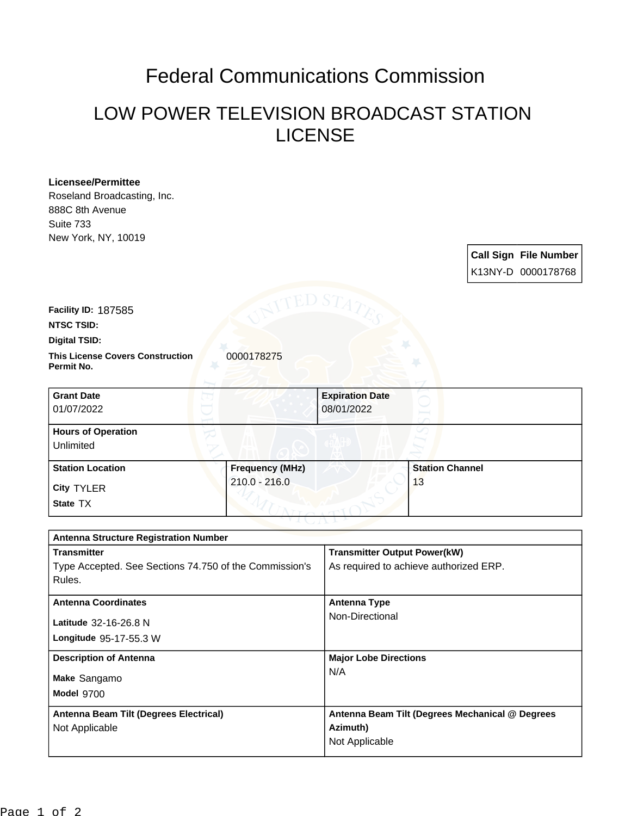## Federal Communications Commission

## LOW POWER TELEVISION BROADCAST STATION LICENSE

## **Licensee/Permittee**

Roseland Broadcasting, Inc. 888C 8th Avenue Suite 733 New York, NY, 10019

> **Call Sign File Number** K13NY-D 0000178768

**Facility ID:** 187585

**NTSC TSID:**

**Digital TSID:**

**This License Covers Construction 0000178275 Permit No.**

| <b>Grant Date</b><br>01/07/2022        |                        | <b>Expiration Date</b><br>08/01/2022 |  |
|----------------------------------------|------------------------|--------------------------------------|--|
| <b>Hours of Operation</b><br>Unlimited |                        |                                      |  |
| <b>Station Location</b>                | <b>Frequency (MHz)</b> | <b>Station Channel</b>               |  |
| <b>City TYLER</b><br>State TX          | 210.0 - 216.0          | 13                                   |  |

| <b>Antenna Structure Registration Number</b>           |                                                 |  |  |
|--------------------------------------------------------|-------------------------------------------------|--|--|
| <b>Transmitter</b>                                     | <b>Transmitter Output Power(kW)</b>             |  |  |
| Type Accepted. See Sections 74.750 of the Commission's | As required to achieve authorized ERP.          |  |  |
| Rules.                                                 |                                                 |  |  |
| <b>Antenna Coordinates</b>                             | <b>Antenna Type</b>                             |  |  |
| Latitude 32-16-26.8 N                                  | Non-Directional                                 |  |  |
| <b>Longitude 95-17-55.3 W</b>                          |                                                 |  |  |
|                                                        |                                                 |  |  |
| <b>Description of Antenna</b>                          | <b>Major Lobe Directions</b>                    |  |  |
| Make Sangamo                                           | N/A                                             |  |  |
| Model 9700                                             |                                                 |  |  |
| Antenna Beam Tilt (Degrees Electrical)                 | Antenna Beam Tilt (Degrees Mechanical @ Degrees |  |  |
| Not Applicable                                         | Azimuth)                                        |  |  |
|                                                        | Not Applicable                                  |  |  |